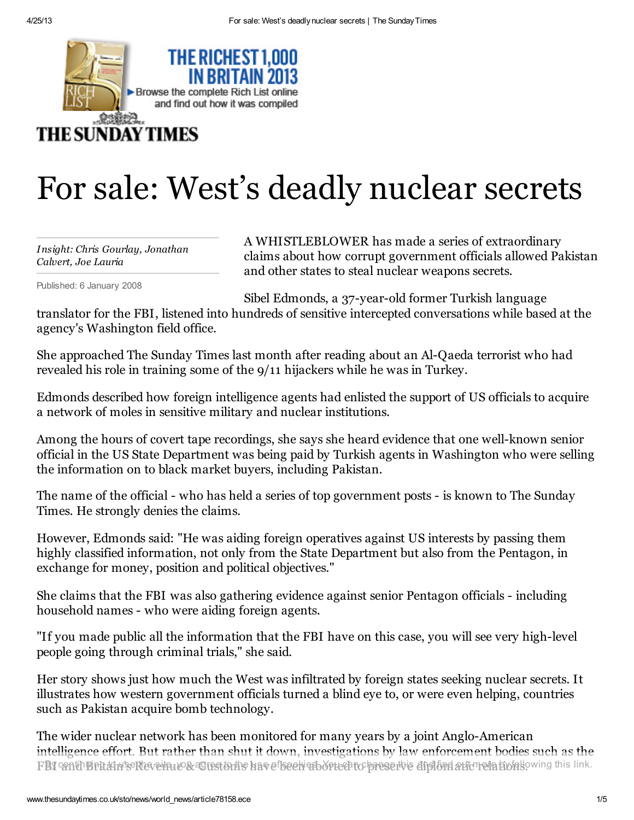

## For sale: West's deadly nuclear secrets

*Insight: Chris Gourlay, Jonathan Calvert, Joe Lauria*

Published: 6 January 2008

A WHISTLEBLOWER has made a series of extraordinary claims about how corrupt government officials allowed Pakistan and other states to steal nuclear weapons secrets.

Sibel Edmonds, a 37-year-old former Turkish language

translator for the FBI, listened into hundreds of sensitive intercepted conversations while based at the agency's Washington field office.

She approached The Sunday Times last month after reading about an Al-Qaeda terrorist who had revealed his role in training some of the 9/11 hijackers while he was in Turkey.

Edmonds described how foreign intelligence agents had enlisted the support of US officials to acquire a network of moles in sensitive military and nuclear institutions.

Among the hours of covert tape recordings, she says she heard evidence that one well-known senior official in the US State Department was being paid by Turkish agents in Washington who were selling the information on to black market buyers, including Pakistan.

The name of the official - who has held a series of top government posts - is known to The Sunday Times. He strongly denies the claims.

However, Edmonds said: "He was aiding foreign operatives against US interests by passing them highly classified information, not only from the State Department but also from the Pentagon, in exchange for money, position and political objectives."

She claims that the FBI was also gathering evidence against senior Pentagon officials - including household names - who were aiding foreign agents.

"If you made public all the information that the FBI have on this case, you will see very high-level people going through criminal trials," she said.

Her story shows just how much the West was infiltrated by foreign states seeking nuclear secrets. It illustrates how western government officials turned a blind eye to, or were even helping, countries such as Pakistan acquire bomb technology.

The wider nuclear network has been monitored for many years by a joint Anglo-American intelligence effort. But rather than shut it down, investigations by law enforcement bodies such as the FBI canth Britain's Revertous actes to the have foech espone to preserve diplomations and find supplied to use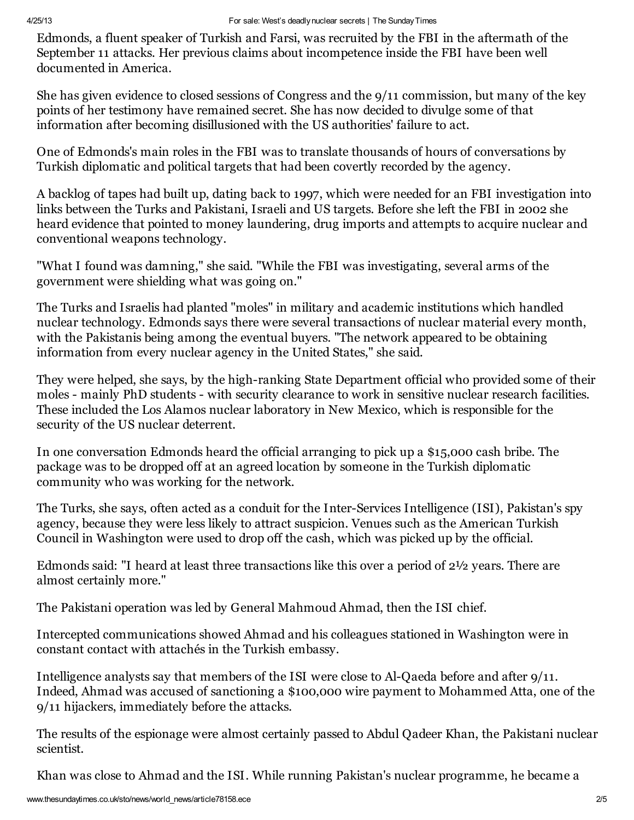Edmonds, a fluent speaker of Turkish and Farsi, was recruited by the FBI in the aftermath of the September 11 attacks. Her previous claims about incompetence inside the FBI have been well documented in America.

She has given evidence to closed sessions of Congress and the 9/11 commission, but many of the key points of her testimony have remained secret. She has now decided to divulge some of that information after becoming disillusioned with the US authorities' failure to act.

One of Edmonds's main roles in the FBI was to translate thousands of hours of conversations by Turkish diplomatic and political targets that had been covertly recorded by the agency.

A backlog of tapes had built up, dating back to 1997, which were needed for an FBI investigation into links between the Turks and Pakistani, Israeli and US targets. Before she left the FBI in 2002 she heard evidence that pointed to money laundering, drug imports and attempts to acquire nuclear and conventional weapons technology.

"What I found was damning," she said. "While the FBI was investigating, several arms of the government were shielding what was going on."

The Turks and Israelis had planted "moles" in military and academic institutions which handled nuclear technology. Edmonds says there were several transactions of nuclear material every month, with the Pakistanis being among the eventual buyers. "The network appeared to be obtaining information from every nuclear agency in the United States," she said.

They were helped, she says, by the high-ranking State Department official who provided some of their moles - mainly PhD students - with security clearance to work in sensitive nuclear research facilities. These included the Los Alamos nuclear laboratory in New Mexico, which is responsible for the security of the US nuclear deterrent.

In one conversation Edmonds heard the official arranging to pick up a \$15,000 cash bribe. The package was to be dropped off at an agreed location by someone in the Turkish diplomatic community who was working for the network.

The Turks, she says, often acted as a conduit for the Inter-Services Intelligence (ISI), Pakistan's spy agency, because they were less likely to attract suspicion. Venues such as the American Turkish Council in Washington were used to drop off the cash, which was picked up by the official.

Edmonds said: "I heard at least three transactions like this over a period of 2½ years. There are almost certainly more."

The Pakistani operation was led by General Mahmoud Ahmad, then the ISI chief.

Intercepted communications showed Ahmad and his colleagues stationed in Washington were in constant contact with attachés in the Turkish embassy.

Intelligence analysts say that members of the ISI were close to Al-Qaeda before and after 9/11. Indeed, Ahmad was accused of sanctioning a \$100,000 wire payment to Mohammed Atta, one of the 9/11 hijackers, immediately before the attacks.

The results of the espionage were almost certainly passed to Abdul Qadeer Khan, the Pakistani nuclear scientist.

Khan was close to Ahmad and the ISI. While running Pakistan's nuclear programme, he became a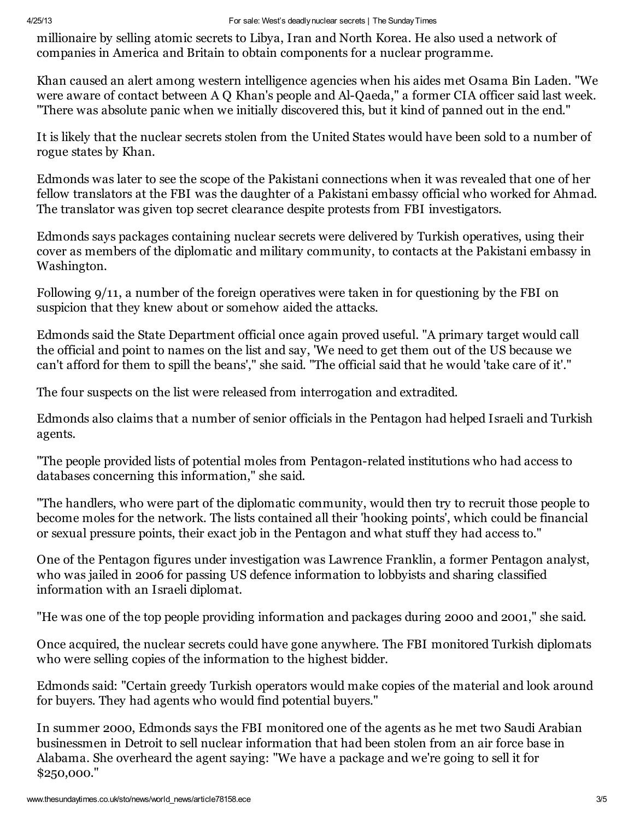## 4/25/13 For sale: West's deadlynuclear secrets | The SundayTimes

millionaire by selling atomic secrets to Libya, Iran and North Korea. He also used a network of companies in America and Britain to obtain components for a nuclear programme.

Khan caused an alert among western intelligence agencies when his aides met Osama Bin Laden. "We were aware of contact between A Q Khan's people and Al-Qaeda," a former CIA officer said last week. "There was absolute panic when we initially discovered this, but it kind of panned out in the end."

It is likely that the nuclear secrets stolen from the United States would have been sold to a number of rogue states by Khan.

Edmonds was later to see the scope of the Pakistani connections when it was revealed that one of her fellow translators at the FBI was the daughter of a Pakistani embassy official who worked for Ahmad. The translator was given top secret clearance despite protests from FBI investigators.

Edmonds says packages containing nuclear secrets were delivered by Turkish operatives, using their cover as members of the diplomatic and military community, to contacts at the Pakistani embassy in Washington.

Following 9/11, a number of the foreign operatives were taken in for questioning by the FBI on suspicion that they knew about or somehow aided the attacks.

Edmonds said the State Department official once again proved useful. "A primary target would call the official and point to names on the list and say, 'We need to get them out of the US because we can't afford for them to spill the beans'," she said. "The official said that he would 'take care of it'."

The four suspects on the list were released from interrogation and extradited.

Edmonds also claims that a number of senior officials in the Pentagon had helped Israeli and Turkish agents.

"The people provided lists of potential moles from Pentagon-related institutions who had access to databases concerning this information," she said.

"The handlers, who were part of the diplomatic community, would then try to recruit those people to become moles for the network. The lists contained all their 'hooking points', which could be financial or sexual pressure points, their exact job in the Pentagon and what stuff they had access to."

One of the Pentagon figures under investigation was Lawrence Franklin, a former Pentagon analyst, who was jailed in 2006 for passing US defence information to lobbyists and sharing classified information with an Israeli diplomat.

"He was one of the top people providing information and packages during 2000 and 2001," she said.

Once acquired, the nuclear secrets could have gone anywhere. The FBI monitored Turkish diplomats who were selling copies of the information to the highest bidder.

Edmonds said: "Certain greedy Turkish operators would make copies of the material and look around for buyers. They had agents who would find potential buyers."

In summer 2000, Edmonds says the FBI monitored one of the agents as he met two Saudi Arabian businessmen in Detroit to sell nuclear information that had been stolen from an air force base in Alabama. She overheard the agent saying: "We have a package and we're going to sell it for \$250,000."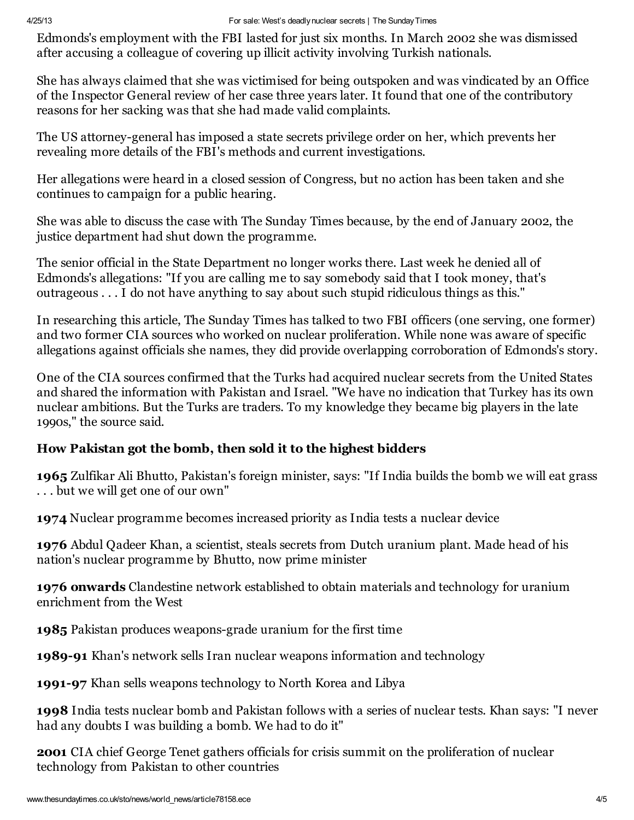Edmonds's employment with the FBI lasted for just six months. In March 2002 she was dismissed after accusing a colleague of covering up illicit activity involving Turkish nationals.

She has always claimed that she was victimised for being outspoken and was vindicated by an Office of the Inspector General review of her case three years later. It found that one of the contributory reasons for her sacking was that she had made valid complaints.

The US attorney-general has imposed a state secrets privilege order on her, which prevents her revealing more details of the FBI's methods and current investigations.

Her allegations were heard in a closed session of Congress, but no action has been taken and she continues to campaign for a public hearing.

She was able to discuss the case with The Sunday Times because, by the end of January 2002, the justice department had shut down the programme.

The senior official in the State Department no longer works there. Last week he denied all of Edmonds's allegations: "If you are calling me to say somebody said that I took money, that's outrageous . . . I do not have anything to say about such stupid ridiculous things as this."

In researching this article, The Sunday Times has talked to two FBI officers (one serving, one former) and two former CIA sources who worked on nuclear proliferation. While none was aware of specific allegations against officials she names, they did provide overlapping corroboration of Edmonds's story.

One of the CIA sources confirmed that the Turks had acquired nuclear secrets from the United States and shared the information with Pakistan and Israel. "We have no indication that Turkey has its own nuclear ambitions. But the Turks are traders. To my knowledge they became big players in the late 1990s," the source said.

## How Pakistan got the bomb, then sold it to the highest bidders

1965 Zulfikar Ali Bhutto, Pakistan's foreign minister, says: "If India builds the bomb we will eat grass . . . but we will get one of our own"

1974 Nuclear programme becomes increased priority as India tests a nuclear device

1976 Abdul Qadeer Khan, a scientist, steals secrets from Dutch uranium plant. Made head of his nation's nuclear programme by Bhutto, now prime minister

1976 onwards Clandestine network established to obtain materials and technology for uranium enrichment from the West

1985 Pakistan produces weapons-grade uranium for the first time

1989-91 Khan's network sells Iran nuclear weapons information and technology

1991-97 Khan sells weapons technology to North Korea and Libya

1998 India tests nuclear bomb and Pakistan follows with a series of nuclear tests. Khan says: "I never had any doubts I was building a bomb. We had to do it"

2001 CIA chief George Tenet gathers officials for crisis summit on the proliferation of nuclear technology from Pakistan to other countries